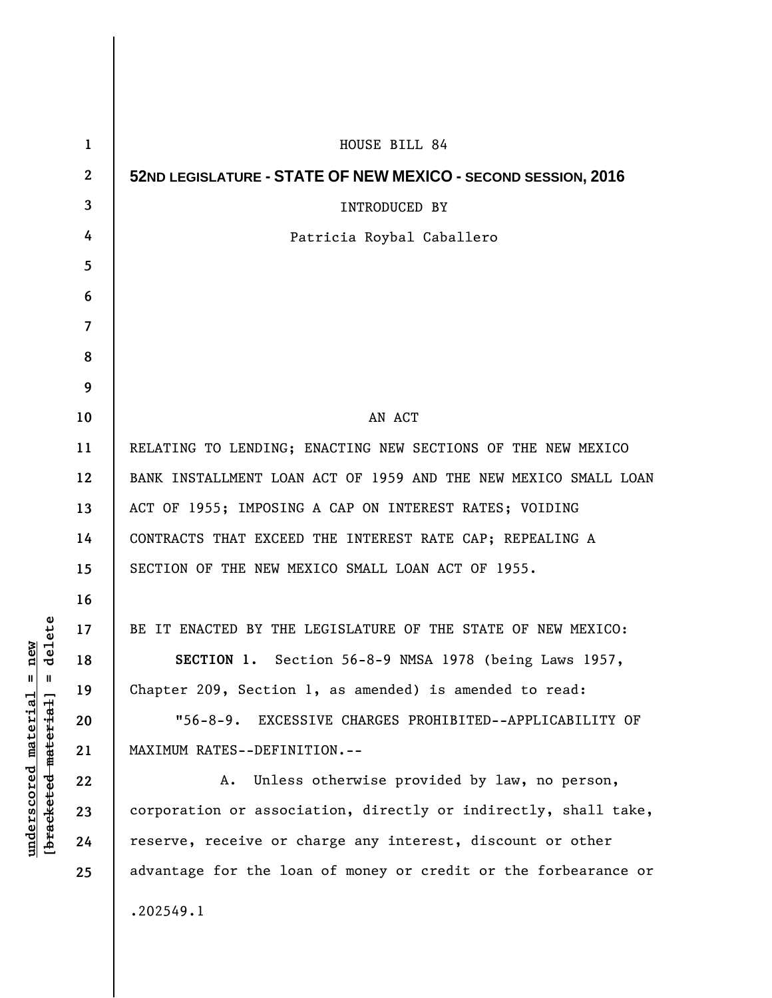| $\mathbf 1$      | HOUSE BILL 84                                                   |
|------------------|-----------------------------------------------------------------|
| $\boldsymbol{2}$ | 52ND LEGISLATURE - STATE OF NEW MEXICO - SECOND SESSION, 2016   |
| 3                | <b>INTRODUCED BY</b>                                            |
| 4                | Patricia Roybal Caballero                                       |
| 5                |                                                                 |
| 6                |                                                                 |
| 7                |                                                                 |
| 8                |                                                                 |
| 9                |                                                                 |
| 10               | AN ACT                                                          |
| 11               | RELATING TO LENDING; ENACTING NEW SECTIONS OF THE NEW MEXICO    |
| 12               | BANK INSTALLMENT LOAN ACT OF 1959 AND THE NEW MEXICO SMALL LOAN |
| 13               | ACT OF 1955; IMPOSING A CAP ON INTEREST RATES; VOIDING          |
| 14               | CONTRACTS THAT EXCEED THE INTEREST RATE CAP; REPEALING A        |
| 15               | SECTION OF THE NEW MEXICO SMALL LOAN ACT OF 1955.               |
| 16               |                                                                 |
| 17               | BE IT ENACTED BY THE LEGISLATURE OF THE STATE OF NEW MEXICO:    |
| 18               | SECTION 1. Section 56-8-9 NMSA 1978 (being Laws 1957,           |
| 19               | Chapter 209, Section 1, as amended) is amended to read:         |
| 20               | "56-8-9. EXCESSIVE CHARGES PROHIBITED--APPLICABILITY OF         |
| 21               | MAXIMUM RATES--DEFINITION.--                                    |
| 22               | Unless otherwise provided by law, no person,<br>A.              |
| 23               | corporation or association, directly or indirectly, shall take, |
| 24               | reserve, receive or charge any interest, discount or other      |
| 25               | advantage for the loan of money or credit or the forbearance or |
|                  | .202549.1                                                       |
|                  |                                                                 |

 $[**bracket eted metert et**] = **del et e**$ **[bracketed material] = delete**  $underscored material = new$ **underscored material = new**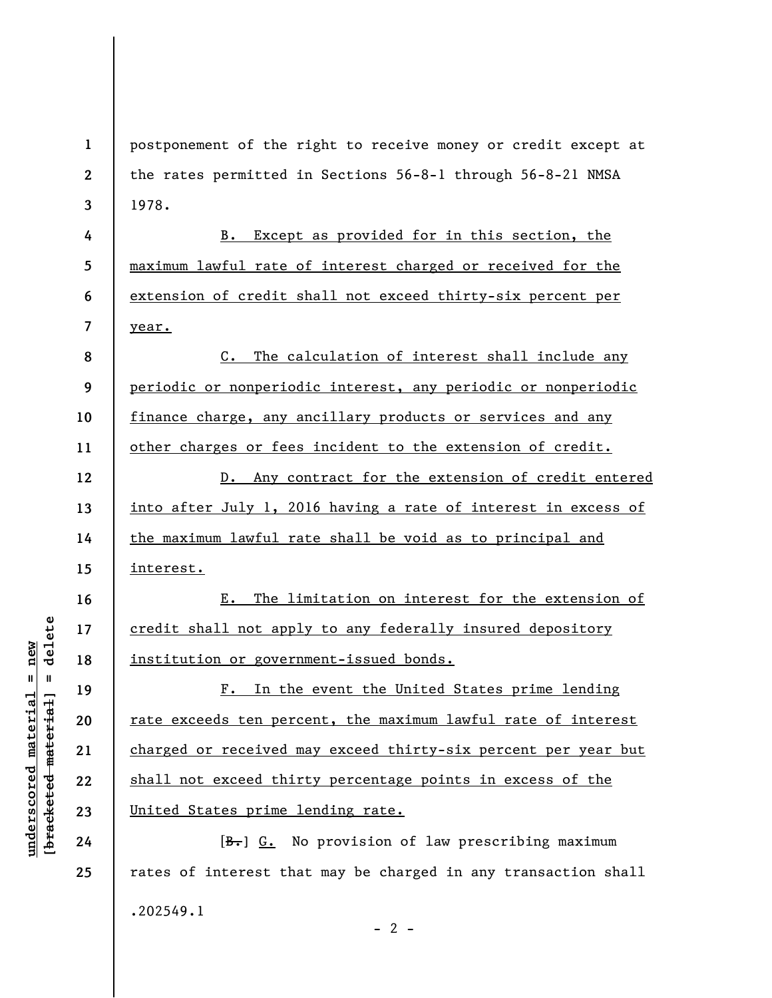**1 2 3**  postponement of the right to receive money or credit except at the rates permitted in Sections 56-8-1 through 56-8-21 NMSA 1978.

B. Except as provided for in this section, the maximum lawful rate of interest charged or received for the extension of credit shall not exceed thirty-six percent per year.

**8 9 10 11**  C. The calculation of interest shall include any periodic or nonperiodic interest, any periodic or nonperiodic finance charge, any ancillary products or services and any other charges or fees incident to the extension of credit.

**12 13 14 15**  D. Any contract for the extension of credit entered into after July 1, 2016 having a rate of interest in excess of the maximum lawful rate shall be void as to principal and interest.

E. The limitation on interest for the extension of credit shall not apply to any federally insured depository institution or government-issued bonds.

F. In the event the United States prime lending rate exceeds ten percent, the maximum lawful rate of interest charged or received may exceed thirty-six percent per year but shall not exceed thirty percentage points in excess of the United States prime lending rate.

 $[B<sub>1</sub>]$  G. No provision of law prescribing maximum rates of interest that may be charged in any transaction shall .202549.1  $- 2 -$ 

 $\frac{1}{2}$  intereted material = delete **[bracketed material] = delete**  $anderscored material = new$ **underscored material = new**

**4** 

**5** 

**6** 

**7** 

**16** 

**17** 

**18** 

**19** 

**20** 

**21** 

**22** 

**23** 

**24**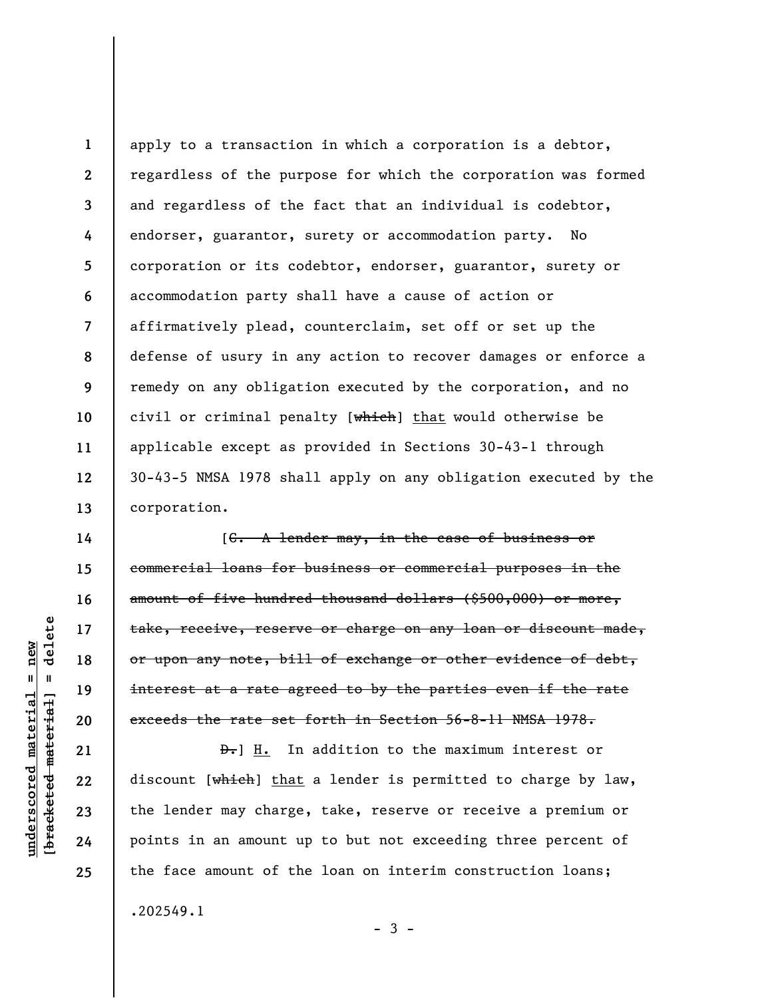**1 2 3 4 5 6 7 8 9 10 11 12 13**  apply to a transaction in which a corporation is a debtor, regardless of the purpose for which the corporation was formed and regardless of the fact that an individual is codebtor, endorser, guarantor, surety or accommodation party. No corporation or its codebtor, endorser, guarantor, surety or accommodation party shall have a cause of action or affirmatively plead, counterclaim, set off or set up the defense of usury in any action to recover damages or enforce a remedy on any obligation executed by the corporation, and no civil or criminal penalty [which] that would otherwise be applicable except as provided in Sections 30-43-1 through 30-43-5 NMSA 1978 shall apply on any obligation executed by the corporation.

[C. A lender may, in the case of business or commercial loans for business or commercial purposes in the amount of five hundred thousand dollars (\$500,000) or more, take, receive, reserve or charge on any loan or discount made, or upon any note, bill of exchange or other evidence of debt, interest at a rate agreed to by the parties even if the rate exceeds the rate set forth in Section 56-8-11 NMSA 1978.

D.] H. In addition to the maximum interest or discount [which] that a lender is permitted to charge by law, the lender may charge, take, reserve or receive a premium or points in an amount up to but not exceeding three percent of the face amount of the loan on interim construction loans; .202549.1

 $-3 -$ 

delete **[bracketed material] = delete**  $underscored material = new$ **underscored material = new**  $\mathbf{I}$ bracketed material

**14** 

**15** 

**16** 

**17** 

**18** 

**19** 

**20** 

**21** 

**22** 

**23** 

**24**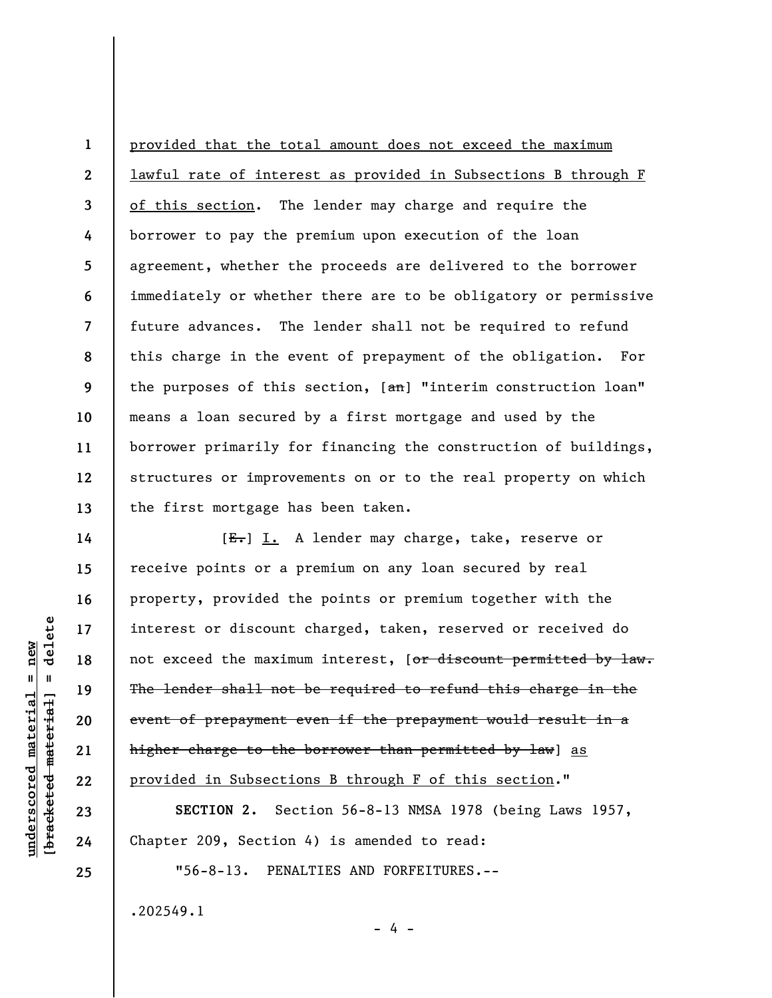**1 2 3 4 5 6 7 8 9 10 11 12 13**  provided that the total amount does not exceed the maximum lawful rate of interest as provided in Subsections B through F of this section. The lender may charge and require the borrower to pay the premium upon execution of the loan agreement, whether the proceeds are delivered to the borrower immediately or whether there are to be obligatory or permissive future advances. The lender shall not be required to refund this charge in the event of prepayment of the obligation. For the purposes of this section,  $[ $\theta$ )]$  "interim construction loan" means a loan secured by a first mortgage and used by the borrower primarily for financing the construction of buildings, structures or improvements on or to the real property on which the first mortgage has been taken.

[E.] I. A lender may charge, take, reserve or receive points or a premium on any loan secured by real property, provided the points or premium together with the interest or discount charged, taken, reserved or received do not exceed the maximum interest, [or discount permitted by law. The lender shall not be required to refund this charge in the event of prepayment even if the prepayment would result in a higher charge to the borrower than permitted by law] as provided in Subsections B through F of this section."

**SECTION 2.** Section 56-8-13 NMSA 1978 (being Laws 1957, Chapter 209, Section 4) is amended to read:

- 4 -

"56-8-13. PENALTIES AND FORFEITURES.--

.202549.1

delete **[bracketed material] = delete**  $anderscored material = new$ **underscored material = new**  $\mathbf{I}$ bracketed material

**14** 

**15** 

**16** 

**17** 

**18** 

**19** 

**20** 

**21** 

**22** 

**23** 

**24**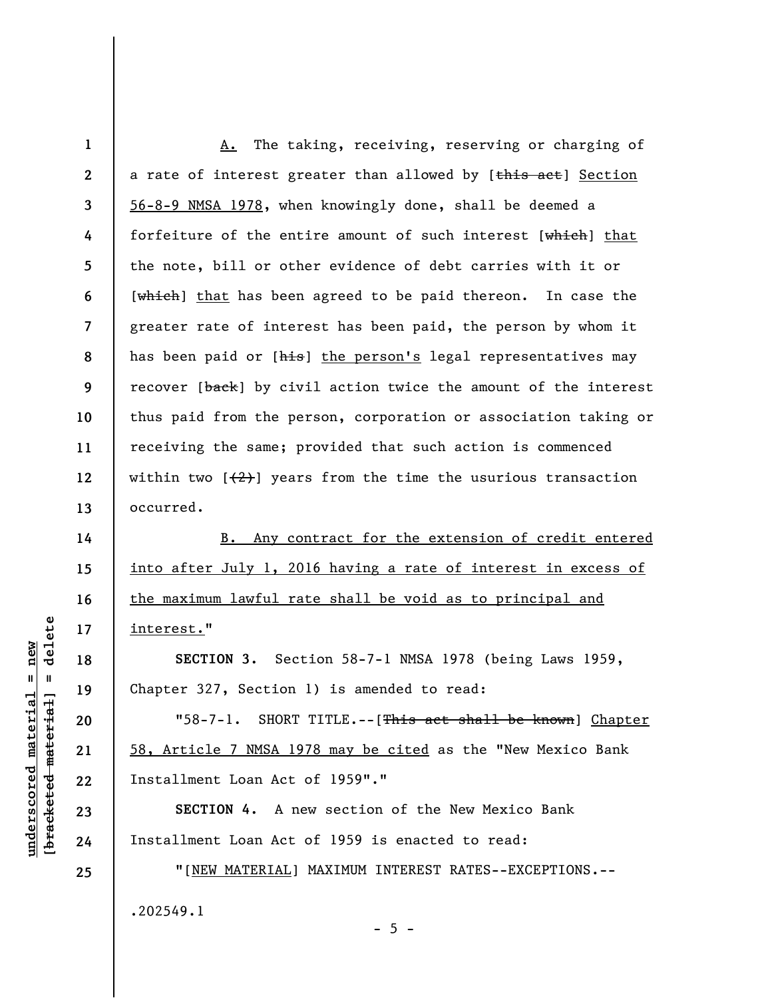**1 2 3 4 5 6 7 8 9 10 11 12 13 14**  A. The taking, receiving, reserving or charging of a rate of interest greater than allowed by [this act] Section 56-8-9 NMSA 1978, when knowingly done, shall be deemed a forfeiture of the entire amount of such interest [which] that the note, bill or other evidence of debt carries with it or [which] that has been agreed to be paid thereon. In case the greater rate of interest has been paid, the person by whom it has been paid or [his] the person's legal representatives may recover [back] by civil action twice the amount of the interest thus paid from the person, corporation or association taking or receiving the same; provided that such action is commenced within two  $[\frac{1}{2}]$  years from the time the usurious transaction occurred.

B. Any contract for the extension of credit entered into after July 1, 2016 having a rate of interest in excess of the maximum lawful rate shall be void as to principal and interest."

**SECTION 3.** Section 58-7-1 NMSA 1978 (being Laws 1959, Chapter 327, Section 1) is amended to read:

"58-7-1. SHORT TITLE.--[This act shall be known] Chapter 58, Article 7 NMSA 1978 may be cited as the "New Mexico Bank Installment Loan Act of 1959"."

**SECTION 4.** A new section of the New Mexico Bank Installment Loan Act of 1959 is enacted to read:

"[NEW MATERIAL] MAXIMUM INTEREST RATES--EXCEPTIONS.-- .202549.1  $- 5 -$ 

delete **[bracketed material] = delete**  $underscored material = new$ **underscored material = new**  $\mathbf{I}$ bracketed material

**15** 

**16** 

**17** 

**18** 

**19** 

**20** 

**21** 

**22** 

**23** 

**24**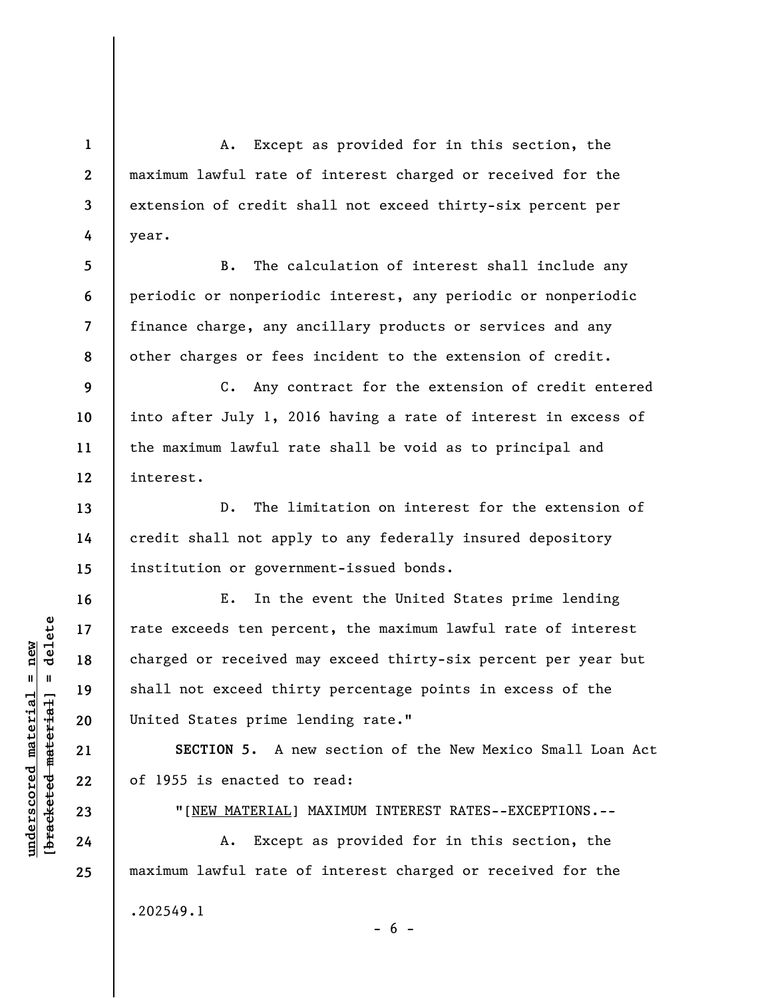A. Except as provided for in this section, the maximum lawful rate of interest charged or received for the extension of credit shall not exceed thirty-six percent per year.

**8**  B. The calculation of interest shall include any periodic or nonperiodic interest, any periodic or nonperiodic finance charge, any ancillary products or services and any other charges or fees incident to the extension of credit.

**9 10 11 12**  C. Any contract for the extension of credit entered into after July 1, 2016 having a rate of interest in excess of the maximum lawful rate shall be void as to principal and interest.

D. The limitation on interest for the extension of credit shall not apply to any federally insured depository institution or government-issued bonds.

E. In the event the United States prime lending rate exceeds ten percent, the maximum lawful rate of interest charged or received may exceed thirty-six percent per year but shall not exceed thirty percentage points in excess of the United States prime lending rate."

**SECTION 5.** A new section of the New Mexico Small Loan Act of 1955 is enacted to read:

"[NEW MATERIAL] MAXIMUM INTEREST RATES--EXCEPTIONS.--

A. Except as provided for in this section, the maximum lawful rate of interest charged or received for the .202549.1  $- 6 -$ 

**1** 

**2** 

**3** 

**4** 

**5** 

**6** 

**7** 

**13** 

**14** 

**15** 

**16** 

**17** 

**18** 

**19** 

**20** 

**21** 

**22** 

**23** 

**24**